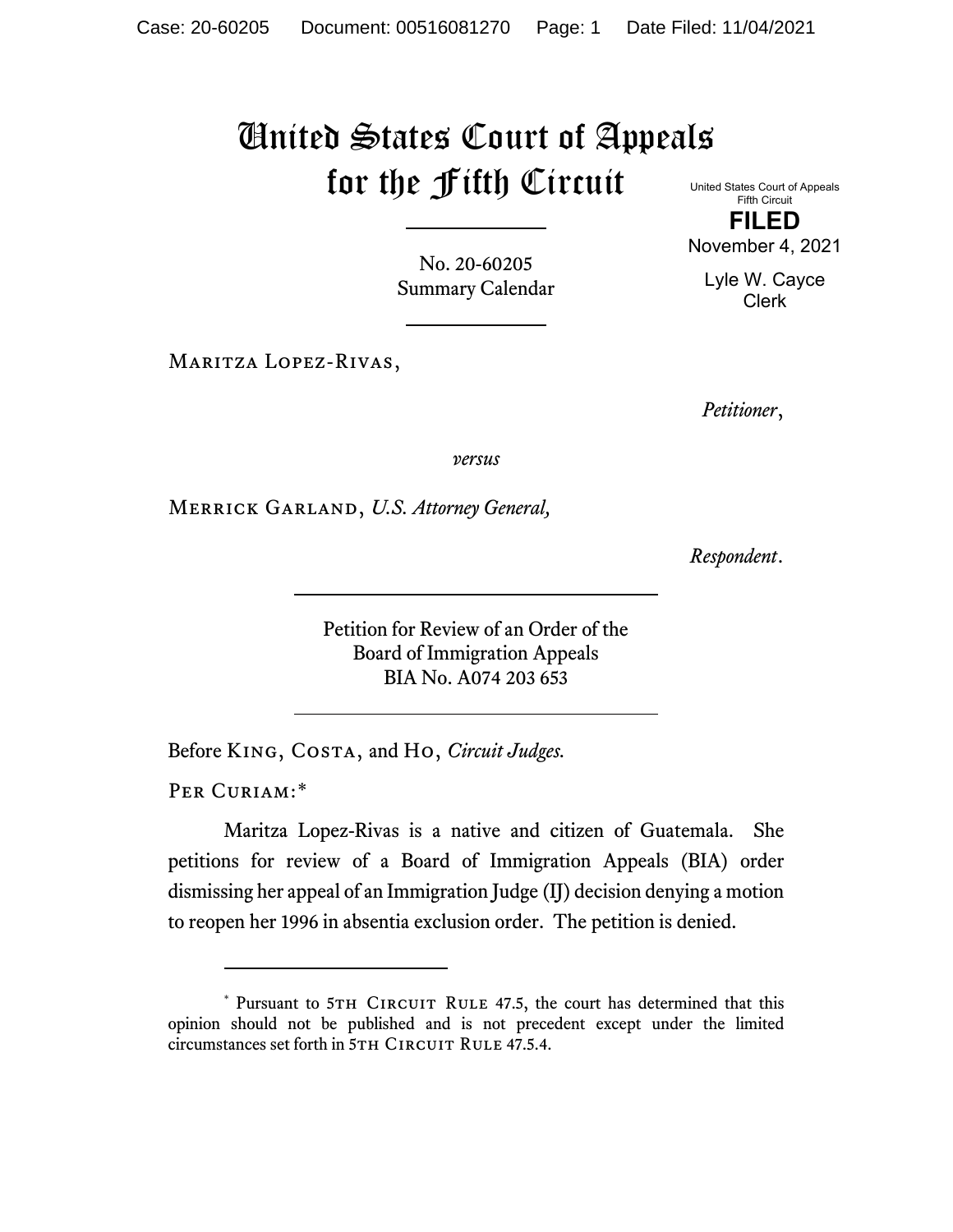## United States Court of Appeals for the Fifth Circuit

No. 20-60205 Summary Calendar

Maritza Lopez-Rivas,

United States Court of Appeals Fifth Circuit

**FILED** November 4, 2021

Lyle W. Cayce Clerk

*Petitioner*,

*versus*

Merrick Garland, *U.S. Attorney General,* 

*Respondent*.

Petition for Review of an Order of the Board of Immigration Appeals BIA No. A074 203 653

Before King, Costa, and Ho, *Circuit Judges.*

PER CURIAM:[\\*](#page-0-0)

Maritza Lopez-Rivas is a native and citizen of Guatemala. She petitions for review of a Board of Immigration Appeals (BIA) order dismissing her appeal of an Immigration Judge (IJ) decision denying a motion to reopen her 1996 in absentia exclusion order. The petition is denied.

<span id="page-0-0"></span><sup>\*</sup> Pursuant to 5TH CIRCUIT RULE 47.5, the court has determined that this opinion should not be published and is not precedent except under the limited circumstances set forth in 5TH CIRCUIT RULE 47.5.4.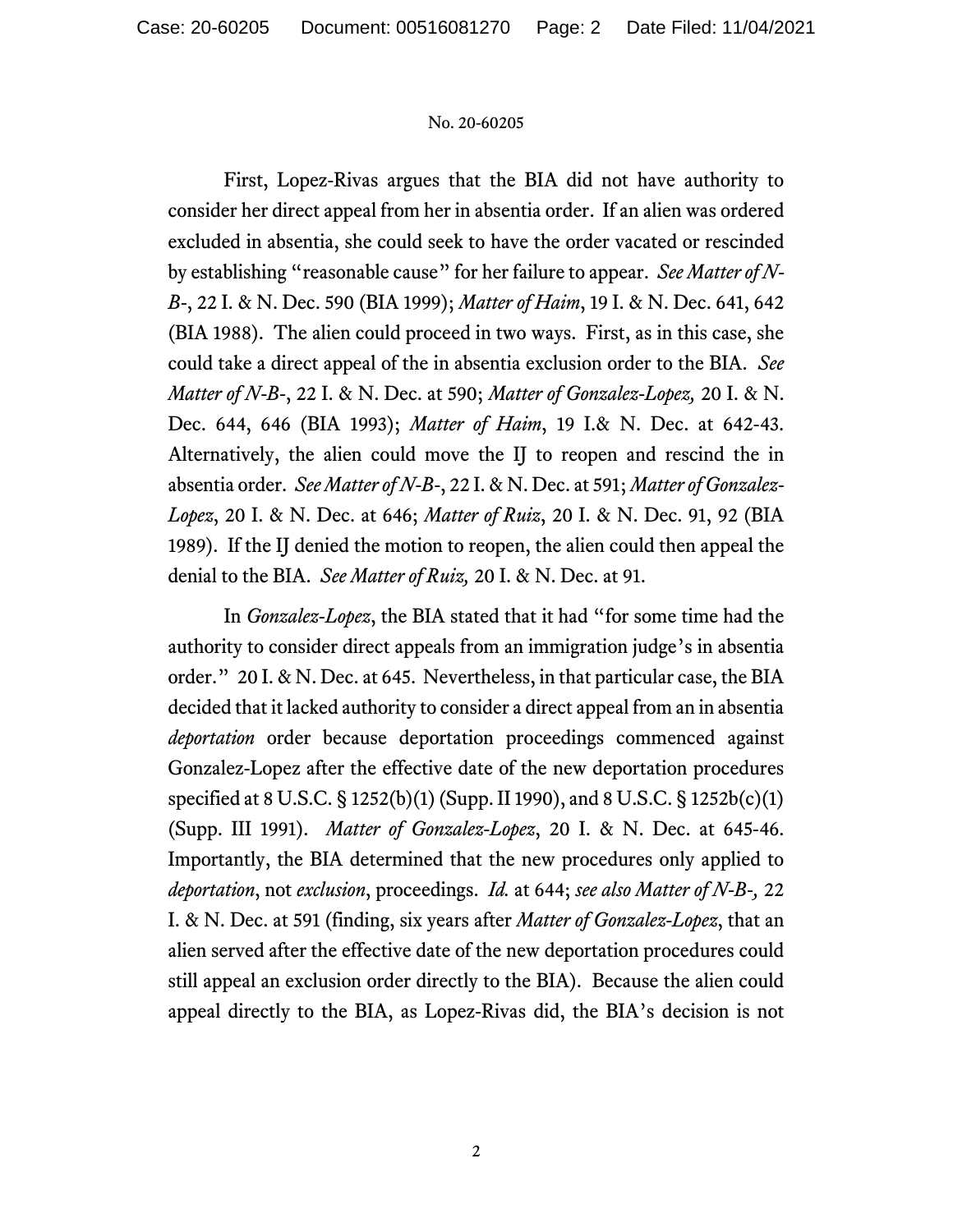## No. 20-60205

First, Lopez-Rivas argues that the BIA did not have authority to consider her direct appeal from her in absentia order. If an alien was ordered excluded in absentia, she could seek to have the order vacated or rescinded by establishing "reasonable cause" for her failure to appear. *See Matter of N-B-*, 22 I. & N. Dec. 590 (BIA 1999); *Matter of Haim*, 19 I. & N. Dec. 641, 642 (BIA 1988). The alien could proceed in two ways. First, as in this case, she could take a direct appeal of the in absentia exclusion order to the BIA. *See Matter of N-B-*, 22 I. & N. Dec. at 590; *Matter of Gonzalez-Lopez,* 20 I. & N. Dec. 644, 646 (BIA 1993); *Matter of Haim*, 19 I.& N. Dec. at 642-43. Alternatively, the alien could move the IJ to reopen and rescind the in absentia order. *See Matter of N-B-*, 22 I. & N. Dec. at 591; *Matter of Gonzalez-Lopez*, 20 I. & N. Dec. at 646; *Matter of Ruiz*, 20 I. & N. Dec. 91, 92 (BIA 1989). If the IJ denied the motion to reopen, the alien could then appeal the denial to the BIA. *See Matter of Ruiz,* 20 I. & N. Dec. at 91.

In *Gonzalez-Lopez*, the BIA stated that it had "for some time had the authority to consider direct appeals from an immigration judge's in absentia order." 20 I. & N. Dec. at 645. Nevertheless, in that particular case, the BIA decided that it lacked authority to consider a direct appeal from an in absentia *deportation* order because deportation proceedings commenced against Gonzalez-Lopez after the effective date of the new deportation procedures specified at 8 U.S.C. § 1252(b)(1) (Supp. II 1990), and 8 U.S.C. § 1252b(c)(1) (Supp. III 1991). *Matter of Gonzalez-Lopez*, 20 I. & N. Dec. at 645-46. Importantly, the BIA determined that the new procedures only applied to *deportation*, not *exclusion*, proceedings. *Id.* at 644; *see also Matter of N-B-,* 22 I. & N. Dec. at 591 (finding, six years after *Matter of Gonzalez-Lopez*, that an alien served after the effective date of the new deportation procedures could still appeal an exclusion order directly to the BIA). Because the alien could appeal directly to the BIA, as Lopez-Rivas did, the BIA's decision is not